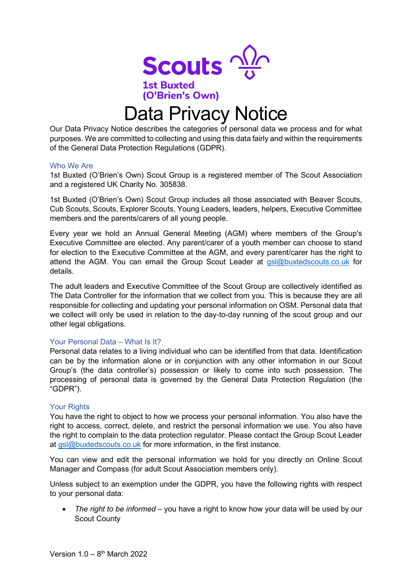

# Data Privacy Notice

(O'Brien's Own)

Our Data Privacy Notice describes the categories of personal data we process and for what purposes. We are committed to collecting and using this data fairly and within the requirements of the General Data Protection Regulations (GDPR).

#### Who We Are

1st Buxted (O'Brien's Own) Scout Group is a registered member of The Scout Association and a registered UK Charity No. 305838.

1st Buxted (O'Brien's Own) Scout Group includes all those associated with Beaver Scouts, Cub Scouts, Scouts, Explorer Scouts, Young Leaders, leaders, helpers, Executive Committee members and the parents/carers of all young people.

Every year we hold an Annual General Meeting (AGM) where members of the Group's Executive Committee are elected. Any parent/carer of a youth member can choose to stand for election to the Executive Committee at the AGM, and every parent/carer has the right to attend the AGM. You can email the Group Scout Leader at [gsl@buxtedscouts.co.uk](mailto:gsl@buxtedscouts.co.uk) for details.

The adult leaders and Executive Committee of the Scout Group are collectively identified as The Data Controller for the information that we collect from you. This is because they are all responsible for collecting and updating your personal information on OSM. Personal data that we collect will only be used in relation to the day-to-day running of the scout group and our other legal obligations.

## Your Personal Data – What Is It?

Personal data relates to a living individual who can be identified from that data. Identification can be by the information alone or in conjunction with any other information in our Scout Group's (the data controller's) possession or likely to come into such possession. The processing of personal data is governed by the General Data Protection Regulation (the "GDPR").

## **Your Rights**

You have the right to object to how we process your personal information. You also have the right to access, correct, delete, and restrict the personal information we use. You also have the right to complain to the data protection regulator. Please contact the Group Scout Leader at  $gs|@$ buxtedscouts.co.uk for more information, in the first instance.

You can view and edit the personal information we hold for you directly on Online Scout Manager and Compass (for adult Scout Association members only).

Unless subject to an exemption under the GDPR, you have the following rights with respect to your personal data:

• *The right to be informed* – you have a right to know how your data will be used by our Scout County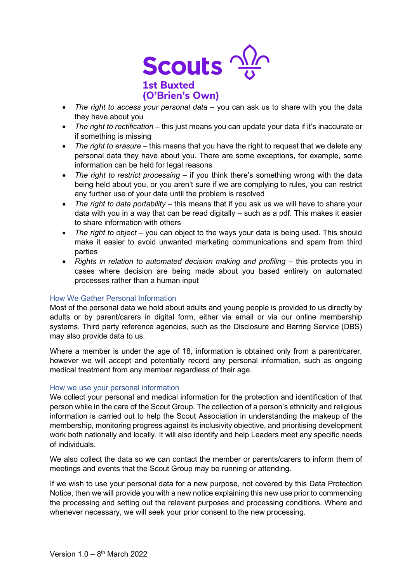

- *The right to access your personal data* you can ask us to share with you the data they have about you
- *The right to rectification* this just means you can update your data if it's inaccurate or if something is missing
- *The right to erasure* this means that you have the right to request that we delete any personal data they have about you. There are some exceptions, for example, some information can be held for legal reasons
- *The right to restrict processing* if you think there's something wrong with the data being held about you, or you aren't sure if we are complying to rules, you can restrict any further use of your data until the problem is resolved
- *The right to data portability* this means that if you ask us we will have to share your data with you in a way that can be read digitally – such as a pdf. This makes it easier to share information with others
- *The right to object* you can object to the ways your data is being used. This should make it easier to avoid unwanted marketing communications and spam from third parties
- *Rights in relation to automated decision making and profiling* this protects you in cases where decision are being made about you based entirely on automated processes rather than a human input

## How We Gather Personal Information

Most of the personal data we hold about adults and young people is provided to us directly by adults or by parent/carers in digital form, either via email or via our online membership systems. Third party reference agencies, such as the Disclosure and Barring Service (DBS) may also provide data to us.

Where a member is under the age of 18, information is obtained only from a parent/carer, however we will accept and potentially record any personal information, such as ongoing medical treatment from any member regardless of their age.

#### How we use your personal information

We collect your personal and medical information for the protection and identification of that person while in the care of the Scout Group. The collection of a person's ethnicity and religious information is carried out to help the Scout Association in understanding the makeup of the membership, monitoring progress against its inclusivity objective, and prioritising development work both nationally and locally. It will also identify and help Leaders meet any specific needs of individuals.

We also collect the data so we can contact the member or parents/carers to inform them of meetings and events that the Scout Group may be running or attending.

If we wish to use your personal data for a new purpose, not covered by this Data Protection Notice, then we will provide you with a new notice explaining this new use prior to commencing the processing and setting out the relevant purposes and processing conditions. Where and whenever necessary, we will seek your prior consent to the new processing.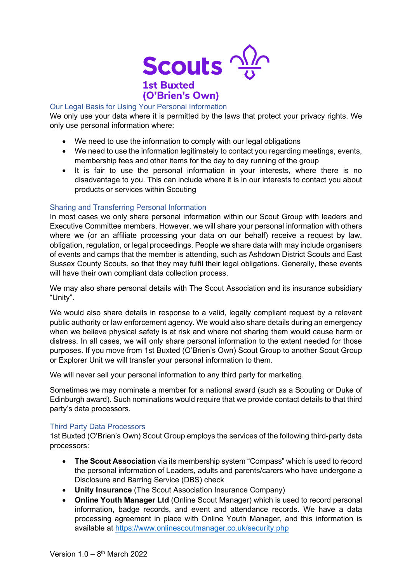

# Our Legal Basis for Using Your Personal Information

We only use your data where it is permitted by the laws that protect your privacy rights. We only use personal information where:

- We need to use the information to comply with our legal obligations
- We need to use the information legitimately to contact you regarding meetings, events, membership fees and other items for the day to day running of the group
- It is fair to use the personal information in your interests, where there is no disadvantage to you. This can include where it is in our interests to contact you about products or services within Scouting

# Sharing and Transferring Personal Information

In most cases we only share personal information within our Scout Group with leaders and Executive Committee members. However, we will share your personal information with others where we (or an affiliate processing your data on our behalf) receive a request by law, obligation, regulation, or legal proceedings. People we share data with may include organisers of events and camps that the member is attending, such as Ashdown District Scouts and East Sussex County Scouts, so that they may fulfil their legal obligations. Generally, these events will have their own compliant data collection process.

We may also share personal details with The Scout Association and its insurance subsidiary "Unity".

We would also share details in response to a valid, legally compliant request by a relevant public authority or law enforcement agency. We would also share details during an emergency when we believe physical safety is at risk and where not sharing them would cause harm or distress. In all cases, we will only share personal information to the extent needed for those purposes. If you move from 1st Buxted (O'Brien's Own) Scout Group to another Scout Group or Explorer Unit we will transfer your personal information to them.

We will never sell your personal information to any third party for marketing.

Sometimes we may nominate a member for a national award (such as a Scouting or Duke of Edinburgh award). Such nominations would require that we provide contact details to that third party's data processors.

## Third Party Data Processors

1st Buxted (O'Brien's Own) Scout Group employs the services of the following third-party data processors:

- **The Scout Association** via its membership system "Compass" which is used to record the personal information of Leaders, adults and parents/carers who have undergone a Disclosure and Barring Service (DBS) check
- **Unity Insurance** (The Scout Association Insurance Company)
- **Online Youth Manager Ltd** (Online Scout Manager) which is used to record personal information, badge records, and event and attendance records. We have a data processing agreement in place with Online Youth Manager, and this information is available at<https://www.onlinescoutmanager.co.uk/security.php>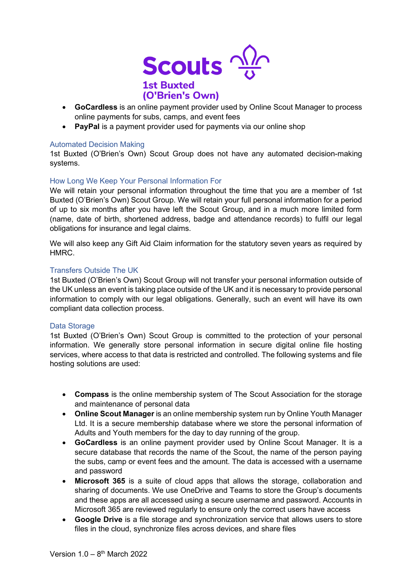

- **GoCardless** is an online payment provider used by Online Scout Manager to process online payments for subs, camps, and event fees
- **PayPal** is a payment provider used for payments via our online shop

## Automated Decision Making

1st Buxted (O'Brien's Own) Scout Group does not have any automated decision-making systems.

## How Long We Keep Your Personal Information For

We will retain your personal information throughout the time that you are a member of 1st Buxted (O'Brien's Own) Scout Group. We will retain your full personal information for a period of up to six months after you have left the Scout Group, and in a much more limited form (name, date of birth, shortened address, badge and attendance records) to fulfil our legal obligations for insurance and legal claims.

We will also keep any Gift Aid Claim information for the statutory seven years as required by HMRC.

#### Transfers Outside The UK

1st Buxted (O'Brien's Own) Scout Group will not transfer your personal information outside of the UK unless an event is taking place outside of the UK and it is necessary to provide personal information to comply with our legal obligations. Generally, such an event will have its own compliant data collection process.

#### Data Storage

1st Buxted (O'Brien's Own) Scout Group is committed to the protection of your personal information. We generally store personal information in secure digital online file hosting services, where access to that data is restricted and controlled. The following systems and file hosting solutions are used:

- **Compass** is the online membership system of The Scout Association for the storage and maintenance of personal data
- **Online Scout Manager** is an online membership system run by Online Youth Manager Ltd. It is a secure membership database where we store the personal information of Adults and Youth members for the day to day running of the group.
- **GoCardless** is an online payment provider used by Online Scout Manager. It is a secure database that records the name of the Scout, the name of the person paying the subs, camp or event fees and the amount. The data is accessed with a username and password
- **Microsoft 365** is a suite of cloud apps that allows the storage, collaboration and sharing of documents. We use OneDrive and Teams to store the Group's documents and these apps are all accessed using a secure username and password. Accounts in Microsoft 365 are reviewed regularly to ensure only the correct users have access
- **Google Drive** is a file storage and synchronization service that allows users to store files in the cloud, synchronize files across devices, and share files